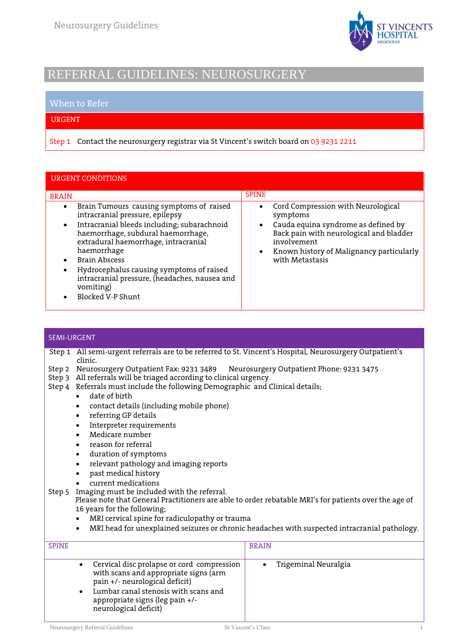

# REFERRAL GUIDELINES: NEUROSURGERY

### When to Refer

#### URGENT

Step 1 Contact the neurosurgery registrar via St Vincent's switch board on 03 9231 2211

| <b>URGENT CONDITIONS</b>                                                                                                                                                                                                                                                                                                                                                                    |                                                                                                                                                                                                                                                       |
|---------------------------------------------------------------------------------------------------------------------------------------------------------------------------------------------------------------------------------------------------------------------------------------------------------------------------------------------------------------------------------------------|-------------------------------------------------------------------------------------------------------------------------------------------------------------------------------------------------------------------------------------------------------|
| <b>BRAIN</b>                                                                                                                                                                                                                                                                                                                                                                                | <b>SPINE</b>                                                                                                                                                                                                                                          |
| Brain Tumours causing symptoms of raised<br>$\bullet$<br>intracranial pressure, epilepsy<br>Intracranial bleeds including; subarachnoid<br>haemorrhage, subdural haemorrhage,<br>extradural haemorrhage, intracranial<br>haemorrhage<br><b>Brain Abscess</b><br>Hydrocephalus causing symptoms of raised<br>intracranial pressure, (headaches, nausea and<br>vomiting)<br>Blocked V-P Shunt | Cord Compression with Neurological<br>$\bullet$<br>symptoms<br>Cauda equina syndrome as defined by<br>$\bullet$<br>Back pain with neurological and bladder<br>involvement<br>Known history of Malignancy particularly<br>$\bullet$<br>with Metastasis |

#### SEMI-URGENT

- Step 1 All semi-urgent referrals are to be referred to St. Vincent's Hospital, Neurosurgery Outpatient's clinic.
- Step 2 Neurosurgery Outpatient Fax: 9231 3489 Neurosurgery Outpatient Phone: 9231 3475
- Step 3 All referrals will be triaged according to clinical urgency.
- Step 4 Referrals must include the following Demographic and Clinical details;
	- date of birth
	- contact details (including mobile phone)
	- referring GP details
	- Interpreter requirements
	- Medicare number
	- reason for referral
	- duration of symptoms
	- relevant pathology and imaging reports
	- past medical history
	- current medications
- Step 5 Imaging must be included with the referral. Please note that General Practitioners are able to order rebatable MRI's for patients over the age of 16 years for the following;
	- MRI cervical spine for radiculopathy or trauma
	- MRI head for unexplained seizures or chronic headaches with suspected intracranial pathology.

| <b>SPINE</b> |                                                                                                                                                                                                                           | <b>BRAIN</b>         |  |
|--------------|---------------------------------------------------------------------------------------------------------------------------------------------------------------------------------------------------------------------------|----------------------|--|
|              | Cervical disc prolapse or cord compression<br>with scans and appropriate signs (arm<br>pain +/- neurological deficit)<br>Lumbar canal stenosis with scans and<br>appropriate signs (leg pain +/-<br>neurological deficit) | Trigeminal Neuralgia |  |